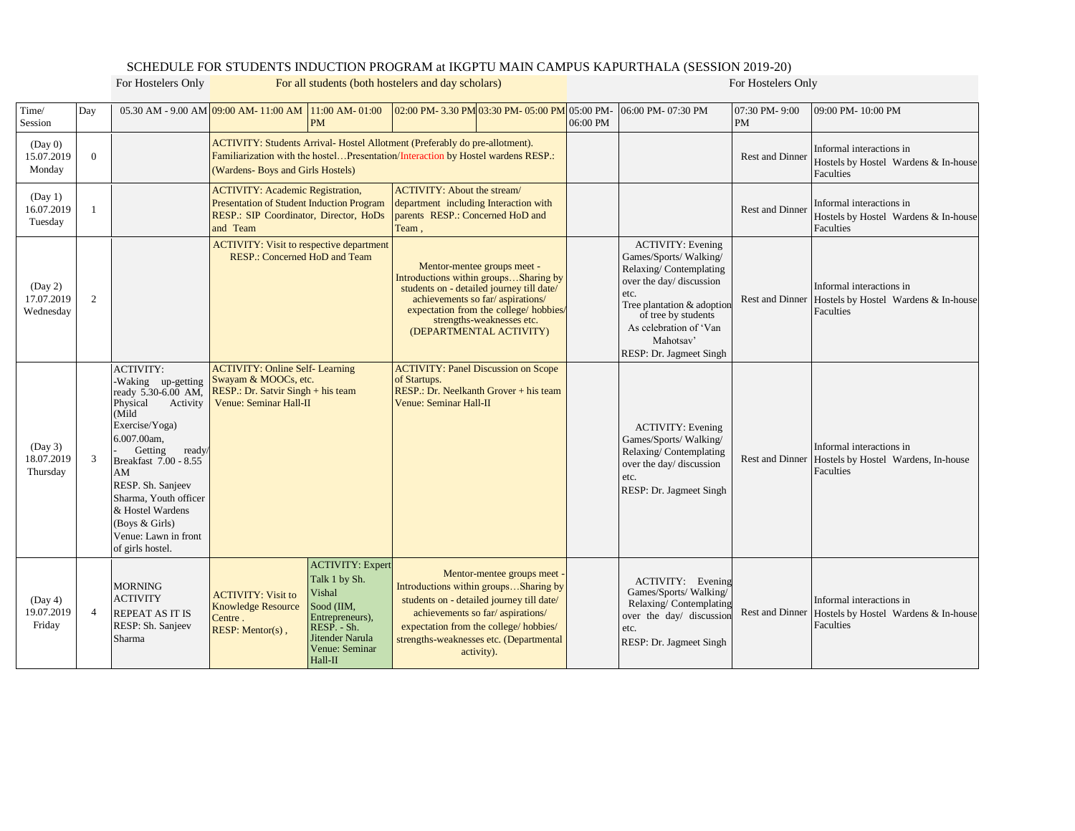## SCHEDULE FOR STUDENTS INDUCTION PROGRAM at IKGPTU MAIN CAMPUS KAPURTHALA (SESSION 2019-20)

For Hostelers Only **For all students (both hostelers and day scholars)** For Hostelers Only

| Time/<br>Session                   | Day            |                                                                                                                                                                                                                                                                                                                     | 05.30 AM - 9.00 AM 09:00 AM - 11:00 AM<br>11:00 AM-01:00<br><b>PM</b>                                                                                                                                                |                                                                                                                                                                 |                                                                                                                                                                                                                                                         | 02:00 PM-3.30 PM 03:30 PM-05:00 PM 05:00 PM                                                                                                                                                                                                           | 06:00 PM | 06:00 PM-07:30 PM                                                                                                                                                                                                                      | 07:30 PM-9:00<br><b>PM</b>                                                    | 09:00 PM-10:00 PM                                                                                   |
|------------------------------------|----------------|---------------------------------------------------------------------------------------------------------------------------------------------------------------------------------------------------------------------------------------------------------------------------------------------------------------------|----------------------------------------------------------------------------------------------------------------------------------------------------------------------------------------------------------------------|-----------------------------------------------------------------------------------------------------------------------------------------------------------------|---------------------------------------------------------------------------------------------------------------------------------------------------------------------------------------------------------------------------------------------------------|-------------------------------------------------------------------------------------------------------------------------------------------------------------------------------------------------------------------------------------------------------|----------|----------------------------------------------------------------------------------------------------------------------------------------------------------------------------------------------------------------------------------------|-------------------------------------------------------------------------------|-----------------------------------------------------------------------------------------------------|
| (Day 0)<br>15.07.2019<br>Monday    | $\overline{0}$ |                                                                                                                                                                                                                                                                                                                     | (Wardens- Boys and Girls Hostels)                                                                                                                                                                                    | ACTIVITY: Students Arrival- Hostel Allotment (Preferably do pre-allotment).<br>Familiarization with the hostelPresentation/Interaction by Hostel wardens RESP.: |                                                                                                                                                                                                                                                         |                                                                                                                                                                                                                                                       |          | <b>Rest and Dinner</b>                                                                                                                                                                                                                 | Informal interactions in<br>Hostels by Hostel Wardens & In-house<br>Faculties |                                                                                                     |
| (Day 1)<br>16.07.2019<br>Tuesday   |                |                                                                                                                                                                                                                                                                                                                     | <b>ACTIVITY: Academic Registration,</b><br>Presentation of Student Induction Program<br>RESP.: SIP Coordinator, Director, HoDs<br>and Team                                                                           |                                                                                                                                                                 | <b>ACTIVITY: About the stream/</b><br>department including Interaction with<br>parents RESP.: Concerned HoD and<br>Team,                                                                                                                                |                                                                                                                                                                                                                                                       |          |                                                                                                                                                                                                                                        | <b>Rest and Dinner</b>                                                        | Informal interactions in<br>Hostels by Hostel Wardens & In-house<br>Faculties                       |
| (Day 2)<br>17.07.2019<br>Wednesday | 2              |                                                                                                                                                                                                                                                                                                                     | <b>ACTIVITY: Visit to respective department</b><br>RESP.: Concerned HoD and Team                                                                                                                                     |                                                                                                                                                                 | Mentor-mentee groups meet -<br>Introductions within groupsSharing by<br>students on - detailed journey till date/<br>achievements so far/aspirations/<br>expectation from the college/ hobbies/<br>strengths-weaknesses etc.<br>(DEPARTMENTAL ACTIVITY) |                                                                                                                                                                                                                                                       |          | <b>ACTIVITY: Evening</b><br>Games/Sports/Walking/<br>Relaxing/Contemplating<br>over the day/ discussion<br>etc.<br>Tree plantation & adoption<br>of tree by students<br>As celebration of 'Van<br>Mahotsay'<br>RESP: Dr. Jagmeet Singh |                                                                               | Informal interactions in<br>Rest and Dinner Hostels by Hostel Wardens & In-house<br>Faculties       |
| (Day 3)<br>18.07.2019<br>Thursday  | 3              | <b>ACTIVITY:</b><br>-Waking up-getting<br>ready 5.30-6.00 AM,<br>Physical<br>Activity<br>(Mild<br>Exercise/Yoga)<br>6.007.00am,<br>Getting<br>ready/<br>Breakfast 7.00 - 8.55<br>AM<br>RESP. Sh. Sanjeev<br>Sharma, Youth officer<br>& Hostel Wardens<br>(Boys & Girls)<br>Venue: Lawn in front<br>of girls hostel. | <b>ACTIVITY: Online Self- Learning</b><br>Swayam & MOOCs, etc.<br>RESP.: Dr. Satvir Singh + his team<br>Venue: Seminar Hall-II                                                                                       |                                                                                                                                                                 | of Startups.<br>Venue: Seminar Hall-II                                                                                                                                                                                                                  | <b>ACTIVITY: Panel Discussion on Scope</b><br>RESP.: Dr. Neelkanth Grover + his team                                                                                                                                                                  |          | <b>ACTIVITY: Evening</b><br>Games/Sports/Walking/<br>Relaxing/Contemplating<br>over the day/ discussion<br>etc.<br>RESP: Dr. Jagmeet Singh                                                                                             |                                                                               | Informal interactions in<br>Rest and Dinner Hostels by Hostel Wardens, In-house<br><b>Faculties</b> |
| (Day 4)<br>19.07.2019<br>Friday    | $\overline{4}$ | <b>MORNING</b><br><b>ACTIVITY</b><br><b>REPEAT AS IT IS</b><br>RESP: Sh. Sanjeev<br>Sharma                                                                                                                                                                                                                          | Talk 1 by Sh.<br>Vishal<br><b>ACTIVITY: Visit to</b><br>Sood (IIM,<br><b>Knowledge Resource</b><br>Entrepreneurs),<br>Centre.<br>$RESP. - Sh.$<br>$RESP:$ Mentor(s),<br>Jitender Narula<br>Venue: Seminar<br>Hall-II | <b>ACTIVITY: Expert</b>                                                                                                                                         |                                                                                                                                                                                                                                                         | Mentor-mentee groups meet<br>Introductions within groupsSharing by<br>students on - detailed journey till date/<br>achievements so far/aspirations/<br>expectation from the college/hobbies/<br>strengths-weaknesses etc. (Departmental<br>activity). |          | ACTIVITY: Evening<br>Games/Sports/Walking/<br>Relaxing/Contemplating<br>over the day/ discussion<br>etc.<br>RESP: Dr. Jagmeet Singh                                                                                                    |                                                                               | Informal interactions in<br>Rest and Dinner Hostels by Hostel Wardens & In-house<br>Faculties       |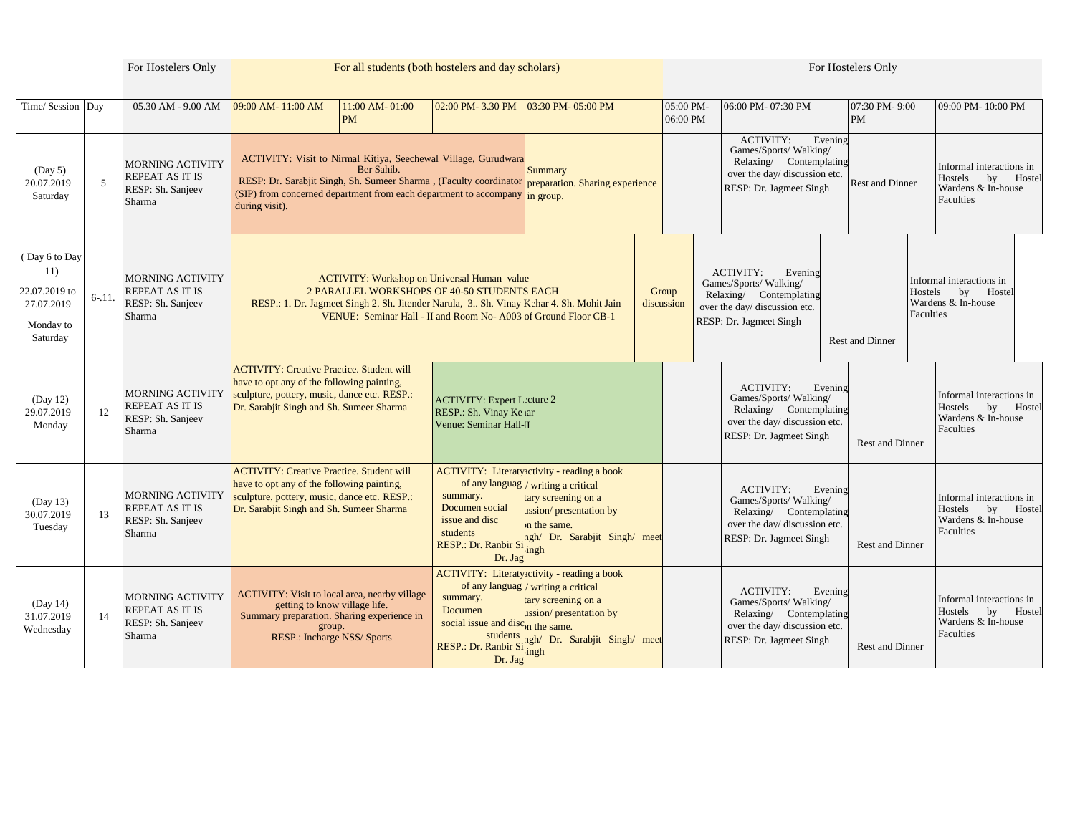|                                                                              |           | For Hostelers Only                                                               | For all students (both hostelers and day scholars)                                                                                                                                                                                                                                                         |                                                                                                                          |                                                                                                                                                                                      |  |                       | For Hostelers Only                                                                                                               |                                                                     |                            |                                                                                        |  |
|------------------------------------------------------------------------------|-----------|----------------------------------------------------------------------------------|------------------------------------------------------------------------------------------------------------------------------------------------------------------------------------------------------------------------------------------------------------------------------------------------------------|--------------------------------------------------------------------------------------------------------------------------|--------------------------------------------------------------------------------------------------------------------------------------------------------------------------------------|--|-----------------------|----------------------------------------------------------------------------------------------------------------------------------|---------------------------------------------------------------------|----------------------------|----------------------------------------------------------------------------------------|--|
| Time/ Session   Day                                                          |           | 05.30 AM - 9.00 AM                                                               | 11:00 AM-01:00<br>09:00 AM-11:00 AM<br><b>PM</b>                                                                                                                                                                                                                                                           | 02:00 PM-3.30 PM                                                                                                         | 03:30 PM-05:00 PM                                                                                                                                                                    |  | 05:00 PM-<br>06:00 PM | 06:00 PM-07:30 PM                                                                                                                |                                                                     | 07:30 PM-9:00<br><b>PM</b> | 09:00 PM-10:00 PM                                                                      |  |
| (Day 5)<br>20.07.2019<br>Saturday                                            | 5         | <b>MORNING ACTIVITY</b><br><b>REPEAT AS IT IS</b><br>RESP: Sh. Sanjeev<br>Sharma | ACTIVITY: Visit to Nirmal Kitiya, Seechewal Village, Gurudwara<br>Ber Sahib.<br>RESP: Dr. Sarabjit Singh, Sh. Sumeer Sharma, (Faculty coordinator preparation. Sharing experience<br>(SIP) from concerned department from each department to accompany $\lim_{n \to \infty} \frac{1}{n}$<br>during visit). |                                                                                                                          | Summary                                                                                                                                                                              |  |                       | <b>ACTIVITY:</b><br>Games/Sports/Walking/<br>RESP: Dr. Jagmeet Singh                                                             | Evening<br>Relaxing/ Contemplating<br>over the day/ discussion etc. | <b>Rest and Dinner</b>     | Informal interactions in<br>Hostels<br>bv<br>Hostel<br>Wardens & In-house<br>Faculties |  |
| (Day 6 to Day<br>11)<br>22.07.2019 to<br>27.07.2019<br>Monday to<br>Saturday | $6 - 11.$ | <b>MORNING ACTIVITY</b><br>REPEAT AS IT IS<br>RESP: Sh. Sanjeev<br>Sharma        | 2 PARALLEL WORKSHOPS OF 40-50 STUDENTS EACH<br>RESP.: 1. Dr. Jagmeet Singh 2. Sh. Jitender Narula, 3 Sh. Vinay Kehar 4. Sh. Mohit Jain                                                                                                                                                                     | <b>ACTIVITY: Workshop on Universal Human value</b><br>VENUE: Seminar Hall - II and Room No- A003 of Ground Floor CB-1    |                                                                                                                                                                                      |  | Group<br>discussion   | <b>ACTIVITY:</b><br>Games/Sports/Walking/<br>Relaxing/ Contemplating<br>over the day/ discussion etc.<br>RESP: Dr. Jagmeet Singh | Evening                                                             | Rest and Dinner            | Informal interactions in<br>Hostels<br>by<br>Hostel<br>Wardens & In-house<br>Faculties |  |
| (Day 12)<br>29.07.2019<br>Monday                                             | 12        | <b>MORNING ACTIVITY</b><br><b>REPEAT AS IT IS</b><br>RESP: Sh. Sanjeev<br>Sharma | <b>ACTIVITY: Creative Practice. Student will</b><br>have to opt any of the following painting,<br>sculpture, pottery, music, dance etc. RESP.:<br>Dr. Sarabjit Singh and Sh. Sumeer Sharma                                                                                                                 | <b>ACTIVITY: Expert Lecture 2</b><br>RESP.: Sh. Vinay Ke ar<br>Venue: Seminar Hall-II                                    |                                                                                                                                                                                      |  |                       | <b>ACTIVITY:</b><br>Games/Sports/Walking/<br>RESP: Dr. Jagmeet Singh                                                             | Evening<br>Relaxing/ Contemplating<br>over the day/ discussion etc. | <b>Rest and Dinner</b>     | Informal interactions in<br>Hostels<br>by<br>Hostel<br>Wardens & In-house<br>Faculties |  |
| (Day 13)<br>30.07.2019<br>Tuesday                                            | 13        | <b>MORNING ACTIVITY</b><br><b>REPEAT AS IT IS</b><br>RESP: Sh. Sanjeev<br>Sharma | <b>ACTIVITY: Creative Practice. Student will</b><br>have to opt any of the following painting,<br>sculpture, pottery, music, dance etc. RESP.:<br>Dr. Sarabjit Singh and Sh. Sumeer Sharma                                                                                                                 | summary.<br>Documen social<br>issue and disc<br>students<br>RESP.: Dr. Ranbir Si <sub>jingh</sub><br>Dr. Jag             | ACTIVITY: Literatyactivity - reading a book<br>of any languag / writing a critical<br>tary screening on a<br>ussion/presentation by<br>on the same.<br>ngh/ Dr. Sarabjit Singh/ meet |  |                       | <b>ACTIVITY:</b><br>Games/Sports/Walking/<br>RESP: Dr. Jagmeet Singh                                                             | Evening<br>Relaxing/ Contemplating<br>over the day/ discussion etc. | Rest and Dinner            | Informal interactions in<br>Hostels<br>by<br>Hostel<br>Wardens & In-house<br>Faculties |  |
| (Day 14)<br>31.07.2019<br>Wednesday                                          | 14        | <b>MORNING ACTIVITY</b><br><b>REPEAT AS IT IS</b><br>RESP: Sh. Sanjeev<br>Sharma | <b>ACTIVITY:</b> Visit to local area, nearby village<br>getting to know village life.<br>Summary preparation. Sharing experience in<br>group.<br>RESP.: Incharge NSS/ Sports                                                                                                                               | summary.<br>Documen<br>social issue and disc <sub>on the same.</sub><br>RESP.: Dr. Ranbir Si <sub>jingh</sub><br>Dr. Jag | <b>ACTIVITY:</b> Literatyactivity - reading a book<br>of any languag / writing a critical<br>tary screening on a<br>ussion/presentation by<br>students ngh/ Dr. Sarabjit Singh/ meet |  |                       | <b>ACTIVITY:</b><br>Games/Sports/Walking/<br>RESP: Dr. Jagmeet Singh                                                             | Evening<br>Relaxing/ Contemplating<br>over the day/ discussion etc. | <b>Rest and Dinner</b>     | Informal interactions in<br>Hostels<br>Hostel<br>by<br>Wardens & In-house<br>Faculties |  |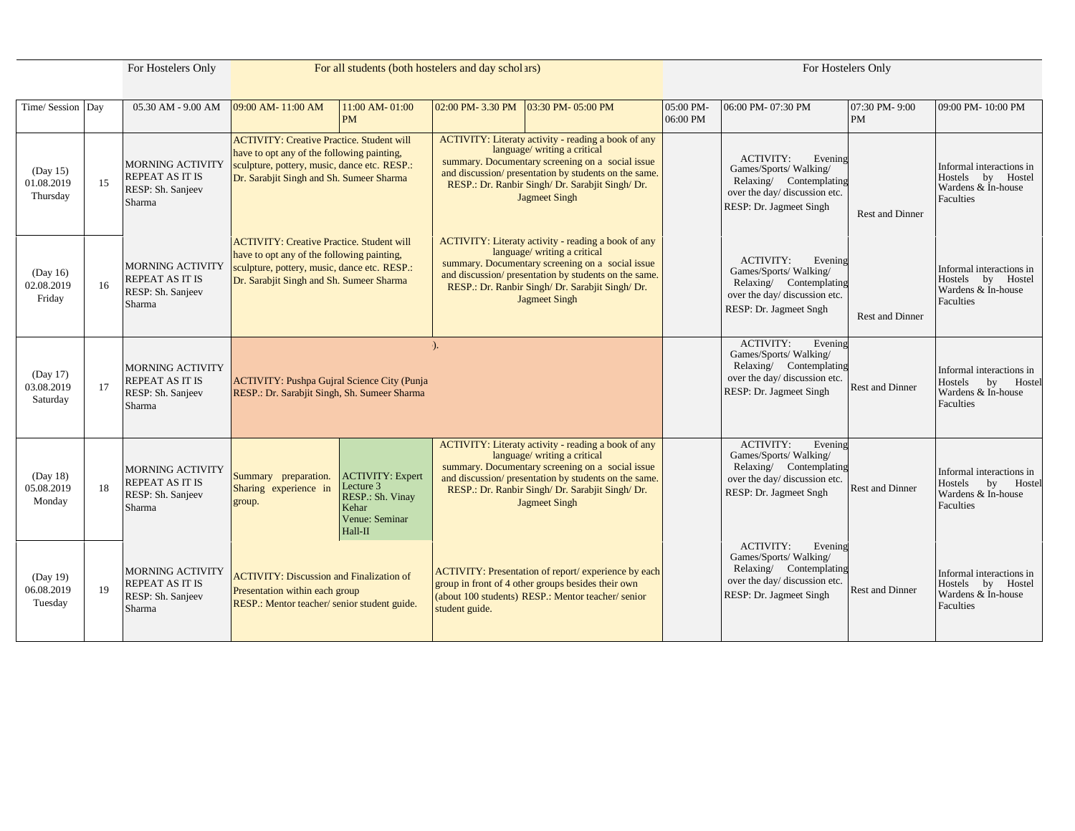| For Hostelers Only                 |    | For all students (both hostelers and day scholars)                               |                                                                                                                                                                                            |                                                                                                |                                                                                                                                                                                                                                                                              | For Hostelers Only                                                                                                                                                                                                                                                           |                       |                                                                                                                                             |                            |                                                                                           |
|------------------------------------|----|----------------------------------------------------------------------------------|--------------------------------------------------------------------------------------------------------------------------------------------------------------------------------------------|------------------------------------------------------------------------------------------------|------------------------------------------------------------------------------------------------------------------------------------------------------------------------------------------------------------------------------------------------------------------------------|------------------------------------------------------------------------------------------------------------------------------------------------------------------------------------------------------------------------------------------------------------------------------|-----------------------|---------------------------------------------------------------------------------------------------------------------------------------------|----------------------------|-------------------------------------------------------------------------------------------|
| Time/ Session Day                  |    | 05.30 AM - 9.00 AM                                                               | 09:00 AM-11:00 AM                                                                                                                                                                          | 11:00 AM-01:00<br><b>PM</b>                                                                    | 02:00 PM-3.30 PM                                                                                                                                                                                                                                                             | 03:30 PM-05:00 PM                                                                                                                                                                                                                                                            | 05:00 PM-<br>06:00 PM | 06:00 PM-07:30 PM                                                                                                                           | 07:30 PM-9:00<br><b>PM</b> | 09:00 PM-10:00 PM                                                                         |
| (Day 15)<br>01.08.2019<br>Thursday | 15 | <b>MORNING ACTIVITY</b><br>REPEAT AS IT IS<br>RESP: Sh. Sanjeev<br>Sharma        | <b>ACTIVITY: Creative Practice. Student will</b><br>have to opt any of the following painting,<br>sculpture, pottery, music, dance etc. RESP.:<br>Dr. Sarabjit Singh and Sh. Sumeer Sharma |                                                                                                | ACTIVITY: Literaty activity - reading a book of any<br>language/ writing a critical<br>summary. Documentary screening on a social issue<br>and discussion/ presentation by students on the same.<br>RESP.: Dr. Ranbir Singh/ Dr. Sarabjit Singh/ Dr.<br><b>Jagmeet Singh</b> |                                                                                                                                                                                                                                                                              |                       | <b>ACTIVITY:</b><br>Evening<br>Games/Sports/Walking/<br>Relaxing/ Contemplating<br>over the day/ discussion etc.<br>RESP: Dr. Jagmeet Singh | <b>Rest and Dinner</b>     | Informal interactions in<br>Hostels by Hostel<br>Wardens & In-house<br>Faculties          |
| (Day 16)<br>02.08.2019<br>Friday   | 16 | <b>MORNING ACTIVITY</b><br><b>REPEAT AS IT IS</b><br>RESP: Sh. Sanjeev<br>Sharma | <b>ACTIVITY: Creative Practice. Student will</b><br>have to opt any of the following painting,<br>sculpture, pottery, music, dance etc. RESP.:<br>Dr. Sarabjit Singh and Sh. Sumeer Sharma |                                                                                                |                                                                                                                                                                                                                                                                              | ACTIVITY: Literaty activity - reading a book of any<br>language/ writing a critical<br>summary. Documentary screening on a social issue<br>and discussion/ presentation by students on the same.<br>RESP.: Dr. Ranbir Singh/ Dr. Sarabjit Singh/ Dr.<br><b>Jagmeet Singh</b> |                       | <b>ACTIVITY:</b><br>Evening<br>Games/Sports/Walking/<br>Relaxing/ Contemplating<br>over the day/ discussion etc.<br>RESP: Dr. Jagmeet Sngh  | <b>Rest and Dinner</b>     | Informal interactions in<br>Hostels by<br>Hostel<br>Wardens & In-house<br>Faculties       |
| (Day 17)<br>03.08.2019<br>Saturday | 17 | <b>MORNING ACTIVITY</b><br><b>REPEAT AS IT IS</b><br>RESP: Sh. Sanjeev<br>Sharma | <b>ACTIVITY: Pushpa Gujral Science City (Punja</b><br>RESP.: Dr. Sarabjit Singh, Sh. Sumeer Sharma                                                                                         |                                                                                                | $\lambda$                                                                                                                                                                                                                                                                    |                                                                                                                                                                                                                                                                              |                       | <b>ACTIVITY:</b><br>Evening<br>Games/Sports/Walking/<br>Relaxing/ Contemplating<br>over the day/ discussion etc.<br>RESP: Dr. Jagmeet Singh | <b>Rest and Dinner</b>     | Informal interactions in<br>Hostels<br>$b$ v<br>Hostel<br>Wardens & In-house<br>Faculties |
| (Day 18)<br>05.08.2019<br>Monday   | 18 | <b>MORNING ACTIVITY</b><br><b>REPEAT AS IT IS</b><br>RESP: Sh. Sanjeev<br>Sharma | Summary preparation.<br>Sharing experience in<br>group.                                                                                                                                    | <b>ACTIVITY: Expert</b><br>Lecture 3<br>RESP.: Sh. Vinay<br>Kehar<br>Venue: Seminar<br>Hall-II |                                                                                                                                                                                                                                                                              | ACTIVITY: Literaty activity - reading a book of any<br>language/ writing a critical<br>summary. Documentary screening on a social issue<br>and discussion/ presentation by students on the same.<br>RESP.: Dr. Ranbir Singh/ Dr. Sarabjit Singh/ Dr.<br><b>Jagmeet Singh</b> |                       | <b>ACTIVITY:</b><br>Evening<br>Games/Sports/Walking/<br>Relaxing/ Contemplating<br>over the day/ discussion etc.<br>RESP: Dr. Jagmeet Sngh  | <b>Rest and Dinner</b>     | Informal interactions in<br>Hostels<br>by<br>Hostel<br>Wardens & In-house<br>Faculties    |
| (Day 19)<br>06.08.2019<br>Tuesday  | 19 | <b>MORNING ACTIVITY</b><br><b>REPEAT AS IT IS</b><br>RESP: Sh. Sanjeev<br>Sharma | <b>ACTIVITY: Discussion and Finalization of</b><br>Presentation within each group<br>RESP.: Mentor teacher/senior student guide.                                                           |                                                                                                | student guide.                                                                                                                                                                                                                                                               | ACTIVITY: Presentation of report/experience by each<br>group in front of 4 other groups besides their own<br>(about 100 students) RESP.: Mentor teacher/senior                                                                                                               |                       | <b>ACTIVITY:</b><br>Evening<br>Games/Sports/Walking/<br>Relaxing/ Contemplating<br>over the day/ discussion etc.<br>RESP: Dr. Jagmeet Singh | <b>Rest and Dinner</b>     | Informal interactions in<br>Hostels by<br>Hostel<br>Wardens & In-house<br>Faculties       |